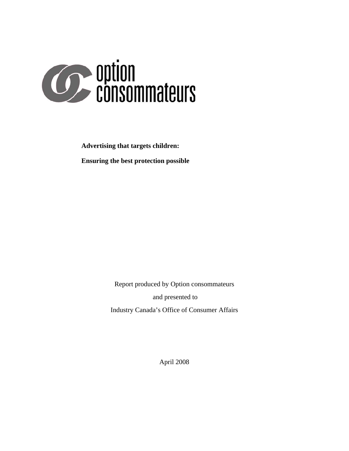

**Advertising that targets children:** 

**Ensuring the best protection possible** 

Report produced by Option consommateurs and presented to Industry Canada's Office of Consumer Affairs

April 2008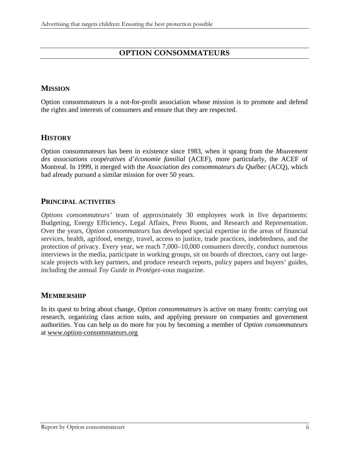## **OPTION CONSOMMATEURS**

# **MISSION**

Option consommateurs is a not-for-profit association whose mission is to promote and defend the rights and interests of consumers and ensure that they are respected.

## **HISTORY**

Option consommateurs has been in existence since 1983, when it sprang from the *Mouvement des associations coopératives d'économie familial* (ACEF), more particularly, the ACEF of Montreal. In 1999, it merged with the *Association des consommateurs du Québec* (ACQ), which had already pursued a similar mission for over 50 years.

## **PRINCIPAL ACTIVITIES**

*Options consommateurs'* team of approximately 30 employees work in five departments: Budgeting, Energy Efficiency, Legal Affairs, Press Room, and Research and Representation. Over the years, *Option consommateurs* has developed special expertise in the areas of financial services, health, agrifood, energy, travel, access to justice, trade practices, indebtedness, and the protection of privacy. Every year, we reach 7,000–10,000 consumers directly, conduct numerous interviews in the media, participate in working groups, sit on boards of directors, carry out largescale projects with key partners, and produce research reports, policy papers and buyers' guides, including the annual *Toy Guide* in *Protégez-vous* magazine.

## **MEMBERSHIP**

In its quest to bring about change, *Option consommateurs* is active on many fronts: carrying out research, organizing class action suits, and applying pressure on companies and government authorities. You can help us do more for you by becoming a member of *Option consommateurs* at www.option-consommateurs.org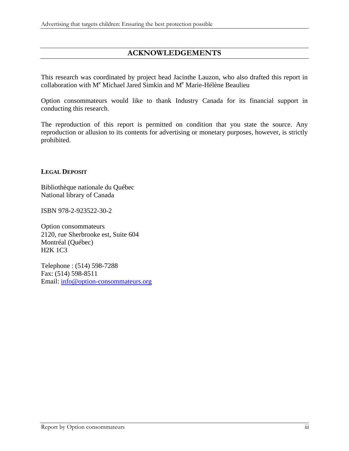## **ACKNOWLEDGEMENTS**

This research was coordinated by project head Jacinthe Lauzon, who also drafted this report in collaboration with M<sup>e</sup> Michael Jared Simkin and M<sup>e</sup> Marie-Hélène Beaulieu

Option consommateurs would like to thank Industry Canada for its financial support in conducting this research.

The reproduction of this report is permitted on condition that you state the source. Any reproduction or allusion to its contents for advertising or monetary purposes, however, is strictly prohibited.

#### **LEGAL DEPOSIT**

Bibliothèque nationale du Québec National library of Canada

ISBN 978-2-923522-30-2

Option consommateurs 2120, rue Sherbrooke est, Suite 604 Montréal (Québec) H2K 1C3

Telephone : (514) 598-7288 Fax: (514) 598-8511 Email: [info@option-consommateurs.org](mailto:info@option-consommateurs.org)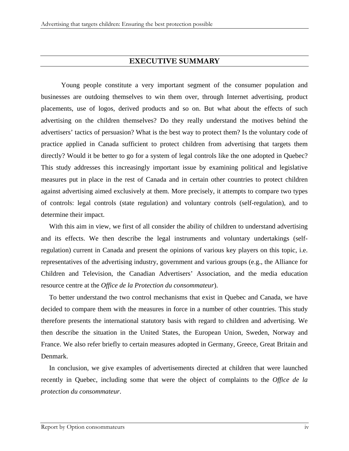### **EXECUTIVE SUMMARY**

Young people constitute a very important segment of the consumer population and businesses are outdoing themselves to win them over, through Internet advertising, product placements, use of logos, derived products and so on. But what about the effects of such advertising on the children themselves? Do they really understand the motives behind the advertisers' tactics of persuasion? What is the best way to protect them? Is the voluntary code of practice applied in Canada sufficient to protect children from advertising that targets them directly? Would it be better to go for a system of legal controls like the one adopted in Quebec? This study addresses this increasingly important issue by examining political and legislative measures put in place in the rest of Canada and in certain other countries to protect children against advertising aimed exclusively at them. More precisely, it attempts to compare two types of controls: legal controls (state regulation) and voluntary controls (self-regulation), and to determine their impact.

With this aim in view, we first of all consider the ability of children to understand advertising and its effects. We then describe the legal instruments and voluntary undertakings (selfregulation) current in Canada and present the opinions of various key players on this topic, i.e. representatives of the advertising industry, government and various groups (e.g., the Alliance for Children and Television, the Canadian Advertisers' Association, and the media education resource centre at the *Office de la Protection du consommateur*).

To better understand the two control mechanisms that exist in Quebec and Canada, we have decided to compare them with the measures in force in a number of other countries. This study therefore presents the international statutory basis with regard to children and advertising. We then describe the situation in the United States, the European Union, Sweden, Norway and France. We also refer briefly to certain measures adopted in Germany, Greece, Great Britain and Denmark.

In conclusion, we give examples of advertisements directed at children that were launched recently in Quebec, including some that were the object of complaints to the *Office de la protection du consommateur*.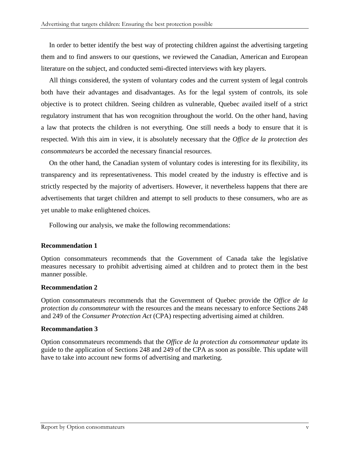In order to better identify the best way of protecting children against the advertising targeting them and to find answers to our questions, we reviewed the Canadian, American and European literature on the subject, and conducted semi-directed interviews with key players.

All things considered, the system of voluntary codes and the current system of legal controls both have their advantages and disadvantages. As for the legal system of controls, its sole objective is to protect children. Seeing children as vulnerable, Quebec availed itself of a strict regulatory instrument that has won recognition throughout the world. On the other hand, having a law that protects the children is not everything. One still needs a body to ensure that it is respected. With this aim in view, it is absolutely necessary that the *Office de la protection des consommateurs* be accorded the necessary financial resources.

On the other hand, the Canadian system of voluntary codes is interesting for its flexibility, its transparency and its representativeness. This model created by the industry is effective and is strictly respected by the majority of advertisers. However, it nevertheless happens that there are advertisements that target children and attempt to sell products to these consumers, who are as yet unable to make enlightened choices.

Following our analysis, we make the following recommendations:

### **Recommendation 1**

Option consommateurs recommends that the Government of Canada take the legislative measures necessary to prohibit advertising aimed at children and to protect them in the best manner possible.

#### **Recommendation 2**

Option consommateurs recommends that the Government of Quebec provide the *Office de la protection du consommateur* with the resources and the means necessary to enforce Sections 248 and 249 of the *Consumer Protection Act* (CPA) respecting advertising aimed at children.

### **Recommandation 3**

Option consommateurs recommends that the *Office de la protection du consommateur* update its guide to the application of Sections 248 and 249 of the CPA as soon as possible. This update will have to take into account new forms of advertising and marketing.